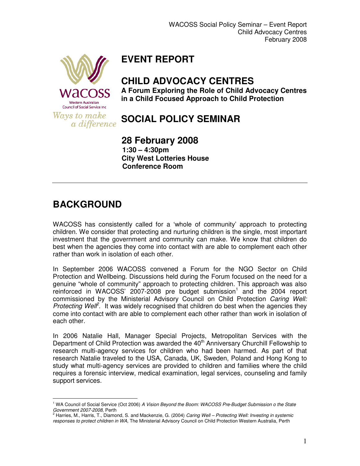

## **EVENT REPORT**

#### **CHILD ADVOCACY CENTRES**

**A Forum Exploring the Role of Child Advocacy Centres in a Child Focused Approach to Child Protection** 

**SOCIAL POLICY SEMINAR** 

 **28 February 2008 1:30 – 4:30pm City West Lotteries House Conference Room** 

### **BACKGROUND**

l.

WACOSS has consistently called for a 'whole of community' approach to protecting children. We consider that protecting and nurturing children is the single, most important investment that the government and community can make. We know that children do best when the agencies they come into contact with are able to complement each other rather than work in isolation of each other.

In September 2006 WACOSS convened a Forum for the NGO Sector on Child Protection and Wellbeing. Discussions held during the Forum focused on the need for a genuine "whole of community" approach to protecting children. This approach was also  $reinforced$  in WACOSS' 2007-2008 pre budget submission<sup>1</sup> and the 2004 report commissioned by the Ministerial Advisory Council on Child Protection Caring Well: Protecting Well<sup>e</sup>. It was widely recognised that children do best when the agencies they come into contact with are able to complement each other rather than work in isolation of each other.

In 2006 Natalie Hall, Manager Special Projects, Metropolitan Services with the Department of Child Protection was awarded the 40<sup>th</sup> Anniversary Churchill Fellowship to research multi-agency services for children who had been harmed. As part of that research Natalie traveled to the USA, Canada, UK, Sweden, Poland and Hong Kong to study what multi-agency services are provided to children and families where the child requires a forensic interview, medical examination, legal services, counseling and family support services.

<sup>&</sup>lt;sup>1</sup> WA Council of Social Service (Oct 2006) A Vision Beyond the Boom: WACOSS Pre-Budget Submission o the State

Government 2007-2008, Perth<br><sup>2</sup> Harries, M., Harris, T., Diamond, S. and Mackenzie, G. (2004) *Caring Well – Protecting Well: Investing in systemic* responses to protect children in WA, The Ministerial Advisory Council on Child Protection Western Australia, Perth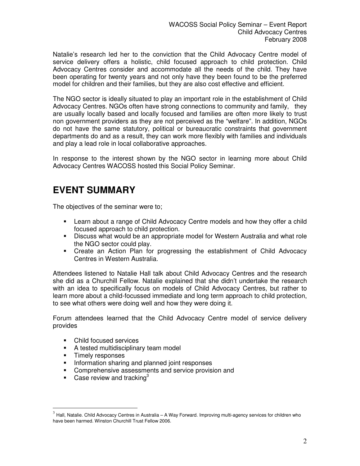Natalie's research led her to the conviction that the Child Advocacy Centre model of service delivery offers a holistic, child focused approach to child protection. Child Advocacy Centres consider and accommodate all the needs of the child. They have been operating for twenty years and not only have they been found to be the preferred model for children and their families, but they are also cost effective and efficient.

The NGO sector is ideally situated to play an important role in the establishment of Child Advocacy Centres. NGOs often have strong connections to community and family, they are usually locally based and locally focused and families are often more likely to trust non government providers as they are not perceived as the "welfare". In addition, NGOs do not have the same statutory, political or bureaucratic constraints that government departments do and as a result, they can work more flexibly with families and individuals and play a lead role in local collaborative approaches.

In response to the interest shown by the NGO sector in learning more about Child Advocacy Centres WACOSS hosted this Social Policy Seminar.

#### **EVENT SUMMARY**

The objectives of the seminar were to;

- Learn about a range of Child Advocacy Centre models and how they offer a child focused approach to child protection.
- Discuss what would be an appropriate model for Western Australia and what role the NGO sector could play.
- Create an Action Plan for progressing the establishment of Child Advocacy Centres in Western Australia.

Attendees listened to Natalie Hall talk about Child Advocacy Centres and the research she did as a Churchill Fellow. Natalie explained that she didn't undertake the research with an idea to specifically focus on models of Child Advocacy Centres, but rather to learn more about a child-focussed immediate and long term approach to child protection, to see what others were doing well and how they were doing it.

Forum attendees learned that the Child Advocacy Centre model of service delivery provides

- Child focused services
- **A tested multidisciplinary team model**
- **Timely responses**

l.

- **Information sharing and planned joint responses**
- **•** Comprehensive assessments and service provision and
- **Case review and tracking**<sup>3</sup>

 $^3$  Hall, Natalie. Child Advocacy Centres in Australia – A Way Forward. Improving multi-agency services for children who have been harmed. Winston Churchill Trust Fellow 2006.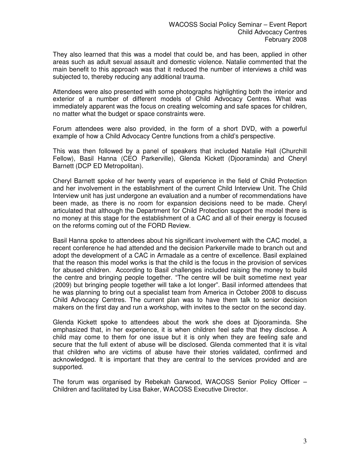They also learned that this was a model that could be, and has been, applied in other areas such as adult sexual assault and domestic violence. Natalie commented that the main benefit to this approach was that it reduced the number of interviews a child was subjected to, thereby reducing any additional trauma.

Attendees were also presented with some photographs highlighting both the interior and exterior of a number of different models of Child Advocacy Centres. What was immediately apparent was the focus on creating welcoming and safe spaces for children, no matter what the budget or space constraints were.

Forum attendees were also provided, in the form of a short DVD, with a powerful example of how a Child Advocacy Centre functions from a child's perspective.

This was then followed by a panel of speakers that included Natalie Hall (Churchill Fellow), Basil Hanna (CEO Parkerville), Glenda Kickett (Djooraminda) and Cheryl Barnett (DCP ED Metropolitan).

Cheryl Barnett spoke of her twenty years of experience in the field of Child Protection and her involvement in the establishment of the current Child Interview Unit. The Child Interview unit has just undergone an evaluation and a number of recommendations have been made, as there is no room for expansion decisions need to be made. Cheryl articulated that although the Department for Child Protection support the model there is no money at this stage for the establishment of a CAC and all of their energy is focused on the reforms coming out of the FORD Review.

Basil Hanna spoke to attendees about his significant involvement with the CAC model, a recent conference he had attended and the decision Parkerville made to branch out and adopt the development of a CAC in Armadale as a centre of excellence. Basil explained that the reason this model works is that the child is the focus in the provision of services for abused children. According to Basil challenges included raising the money to build the centre and bringing people together. "The centre will be built sometime next year (2009) but bringing people together will take a lot longer". Basil informed attendees that he was planning to bring out a specialist team from America in October 2008 to discuss Child Advocacy Centres. The current plan was to have them talk to senior decision makers on the first day and run a workshop, with invites to the sector on the second day.

Glenda Kickett spoke to attendees about the work she does at Djooraminda. She emphasized that, in her experience, it is when children feel safe that they disclose. A child may come to them for one issue but it is only when they are feeling safe and secure that the full extent of abuse will be disclosed. Glenda commented that it is vital that children who are victims of abuse have their stories validated, confirmed and acknowledged. It is important that they are central to the services provided and are supported.

The forum was organised by Rebekah Garwood, WACOSS Senior Policy Officer – Children and facilitated by Lisa Baker, WACOSS Executive Director.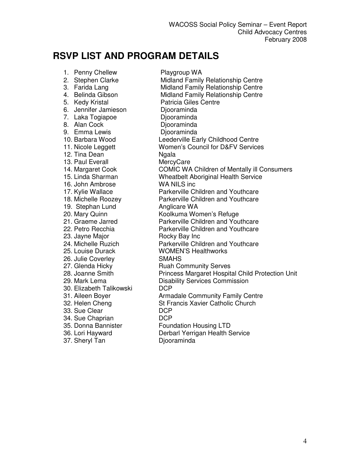# **RSVP LIST AND PROGRAM DETAILS**

1. Penny Chellew Playgroup WA 6. Jennifer Jamieson Djooraminda 7. Laka Togiapoe **Diooraminda** 8. Alan Cock Djooraminda 9. Emma Lewis **Diooraminda** 12. Tina Dean Ngala 13. Paul Everall MercyCare 16. John Ambrose WA NILS inc 19. Stephan Lund **Anglicare WA** 23. Jayne Major **Rocky Bay Inc.** 25. Louise Durack WOMEN'S Healthworks 26. Julie Coverley SMAHS 27. Glenda Hicky Ruah Community Serves 30. Elizabeth Talikowski 33. Sue Clear DCP 34. Sue Chaprian 35. Donna Bannister Foundation Housing LTD 37. Sheryl Tan Djooraminda

2. Stephen Clarke **Midland Family Relationship Centre**<br>2. Farida Lang **Midland Family Relationship Centre** Midland Family Relationship Centre 4. Belinda Gibson Midland Family Relationship Centre<br>5. Kedv Kristal **Repart Contrent Contrents Centre** Patricia Giles Centre 10. Barbara Wood Leederville Early Childhood Centre 11. Nicole Leggett Women's Council for D&FV Services 14. Margaret Cook COMIC WA Children of Mentally ill Consumers 15. Linda Sharman Wheatbelt Aboriginal Health Service 17. Kylie Wallace **Parkerville Children and Youthcare** 18. Michelle Roozey Parkerville Children and Youthcare 20. Mary Quinn Koolkuma Women's Refuge 21. Graeme Jarred Parkerville Children and Youthcare 22. Petro Recchia **Parkerville Children and Youthcare** 24. Michelle Ruzich Parkerville Children and Youthcare 28. Joanne Smith Princess Margaret Hospital Child Protection Unit 29. Mark Lema<br>
20. Elizabeth Talikowski<br>
DCP<br>
DCP 31. Aileen Boyer **Armadale Community Family Centre** 32. Helen Cheng St Francis Xavier Catholic Church 36. Lori Hayward Derbarl Yerrigan Health Service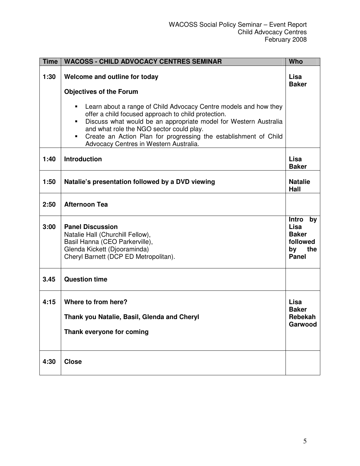| <b>Time</b> | <b>WACOSS - CHILD ADVOCACY CENTRES SEMINAR</b>                                                                                                                                                                                                                                                                                                             | <b>Who</b>                                                                          |
|-------------|------------------------------------------------------------------------------------------------------------------------------------------------------------------------------------------------------------------------------------------------------------------------------------------------------------------------------------------------------------|-------------------------------------------------------------------------------------|
| 1:30        | Welcome and outline for today<br><b>Objectives of the Forum</b>                                                                                                                                                                                                                                                                                            | Lisa<br><b>Baker</b>                                                                |
|             | Learn about a range of Child Advocacy Centre models and how they<br>offer a child focused approach to child protection.<br>Discuss what would be an appropriate model for Western Australia<br>and what role the NGO sector could play.<br>Create an Action Plan for progressing the establishment of Child<br>٠<br>Advocacy Centres in Western Australia. |                                                                                     |
| 1:40        | <b>Introduction</b>                                                                                                                                                                                                                                                                                                                                        | Lisa<br><b>Baker</b>                                                                |
| 1:50        | Natalie's presentation followed by a DVD viewing                                                                                                                                                                                                                                                                                                           | <b>Natalie</b><br>Hall                                                              |
| 2:50        | <b>Afternoon Tea</b>                                                                                                                                                                                                                                                                                                                                       |                                                                                     |
| 3:00        | <b>Panel Discussion</b><br>Natalie Hall (Churchill Fellow),<br>Basil Hanna (CEO Parkerville),<br>Glenda Kickett (Djooraminda)<br>Cheryl Barnett (DCP ED Metropolitan).                                                                                                                                                                                     | <b>Intro</b><br>by<br>Lisa<br><b>Baker</b><br>followed<br>by<br>the<br><b>Panel</b> |
| 3.45        | <b>Question time</b>                                                                                                                                                                                                                                                                                                                                       |                                                                                     |
| 4:15        | Where to from here?<br>Thank you Natalie, Basil, Glenda and Cheryl<br>Thank everyone for coming                                                                                                                                                                                                                                                            | Lisa<br><b>Baker</b><br>Rebekah<br>Garwood                                          |
| 4:30        | <b>Close</b>                                                                                                                                                                                                                                                                                                                                               |                                                                                     |